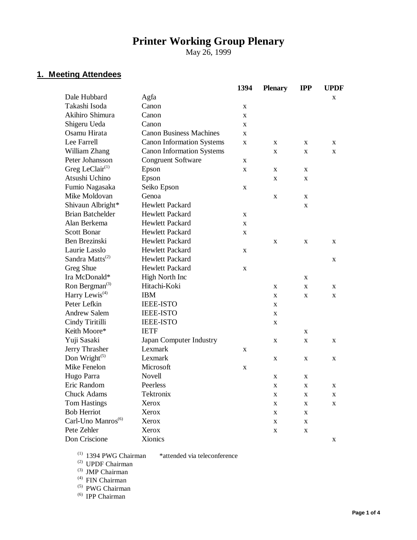# **Printer Working Group Plenary**

May 26, 1999

## **1. Meeting Attendees**

|                                         |                                  | 1394        | <b>Plenary</b> | <b>IPP</b>  | <b>UPDF</b> |
|-----------------------------------------|----------------------------------|-------------|----------------|-------------|-------------|
| Dale Hubbard                            | Agfa                             |             |                |             | X           |
| Takashi Isoda                           | Canon                            | X           |                |             |             |
| Akihiro Shimura                         | Canon                            | X           |                |             |             |
| Shigeru Ueda                            | Canon                            | X           |                |             |             |
| Osamu Hirata                            | <b>Canon Business Machines</b>   | $\mathbf x$ |                |             |             |
| Lee Farrell                             | <b>Canon Information Systems</b> | X           | X              | X           | X           |
| William Zhang                           | <b>Canon Information Systems</b> |             | X              | X           | X           |
| Peter Johansson                         | <b>Congruent Software</b>        | X           |                |             |             |
| Greg LeClair $(1)$                      | Epson                            | X           | X              | X           |             |
| Atsushi Uchino                          | Epson                            |             | X              | X           |             |
| Fumio Nagasaka                          | Seiko Epson                      | X           |                |             |             |
| Mike Moldovan                           | Genoa                            |             | X              | X           |             |
| Shivaun Albright*                       | <b>Hewlett Packard</b>           |             |                | X           |             |
| <b>Brian Batchelder</b>                 | <b>Hewlett Packard</b>           | X           |                |             |             |
| Alan Berkema                            | Hewlett Packard                  | X           |                |             |             |
| <b>Scott Bonar</b>                      | Hewlett Packard                  | X           |                |             |             |
| Ben Brezinski                           | <b>Hewlett Packard</b>           |             | X              | $\mathbf X$ | X           |
| Laurie Lasslo                           | Hewlett Packard                  | X           |                |             |             |
| Sandra Matts <sup>(2)</sup>             | <b>Hewlett Packard</b>           |             |                |             | X           |
| Greg Shue                               | Hewlett Packard                  | X           |                |             |             |
| Ira McDonald*                           | <b>High North Inc</b>            |             |                | X           |             |
| Ron Bergman <sup>(3)</sup>              | Hitachi-Koki                     |             | X              | X           | X           |
| Harry Lewis <sup><math>(4)</math></sup> | <b>IBM</b>                       |             | X              | X           | X           |
| Peter Lefkin                            | <b>IEEE-ISTO</b>                 |             | X              |             |             |
| <b>Andrew Salem</b>                     | <b>IEEE-ISTO</b>                 |             | X              |             |             |
| Cindy Tiritilli                         | <b>IEEE-ISTO</b>                 |             | X              |             |             |
| Keith Moore*                            | <b>IETF</b>                      |             |                | X           |             |
| Yuji Sasaki                             | Japan Computer Industry          |             | X              | X           | X           |
| Jerry Thrasher                          | Lexmark                          | X           |                |             |             |
| Don Wright $(5)$                        | Lexmark                          |             | X              | X           | X           |
| Mike Fenelon                            | Microsoft                        | X           |                |             |             |
| Hugo Parra                              | Novell                           |             | X              | X           |             |
| Eric Random                             | Peerless                         |             | X              | X           | X           |
| Chuck Adams                             | Tektronix                        |             | X              | X           | X           |
| <b>Tom Hastings</b>                     | Xerox                            |             | $\mathbf X$    | $\mathbf X$ | $\mathbf X$ |
| <b>Bob Herriot</b>                      | Xerox                            |             | $\mathbf X$    | X           |             |
| Carl-Uno Manros <sup>(6)</sup>          | Xerox                            |             | $\mathbf X$    | X           |             |
| Pete Zehler                             | Xerox                            |             | $\mathbf X$    | X           |             |
| Don Criscione                           | Xionics                          |             |                |             | X           |

\*attended via teleconference

(1) 1394 PWG Chairman<br>(2) UPDF Chairman

(3) JMP Chairman

(4) FIN Chairman

(5) PWG Chairman

(6) IPP Chairman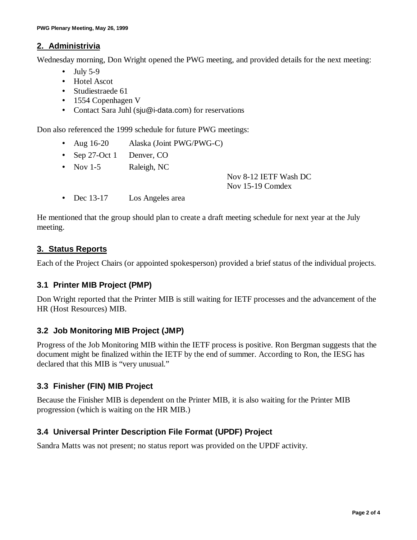#### **2. Administrivia**

Wednesday morning, Don Wright opened the PWG meeting, and provided details for the next meeting:

- $\bullet$  July 5-9
- Hotel Ascot
- Studiestraede 61
- 1554 Copenhagen V
- Contact Sara Juhl (sju@i-data.com) for reservations

Don also referenced the 1999 schedule for future PWG meetings:

- Aug 16-20 Alaska (Joint PWG/PWG-C)
- Sep 27-Oct 1 Denver, CO
- Nov 1-5 Raleigh, NC

Nov 8-12 IETF Wash DC Nov 15-19 Comdex

• Dec 13-17 Los Angeles area

He mentioned that the group should plan to create a draft meeting schedule for next year at the July meeting.

#### **3. Status Reports**

Each of the Project Chairs (or appointed spokesperson) provided a brief status of the individual projects.

#### **3.1 Printer MIB Project (PMP)**

Don Wright reported that the Printer MIB is still waiting for IETF processes and the advancement of the HR (Host Resources) MIB.

## **3.2 Job Monitoring MIB Project (JMP)**

Progress of the Job Monitoring MIB within the IETF process is positive. Ron Bergman suggests that the document might be finalized within the IETF by the end of summer. According to Ron, the IESG has declared that this MIB is "very unusual."

## **3.3 Finisher (FIN) MIB Project**

Because the Finisher MIB is dependent on the Printer MIB, it is also waiting for the Printer MIB progression (which is waiting on the HR MIB.)

## **3.4 Universal Printer Description File Format (UPDF) Project**

Sandra Matts was not present; no status report was provided on the UPDF activity.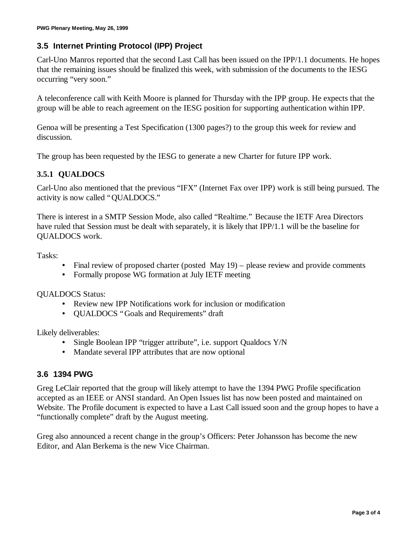## **3.5 Internet Printing Protocol (IPP) Project**

Carl-Uno Manros reported that the second Last Call has been issued on the IPP/1.1 documents. He hopes that the remaining issues should be finalized this week, with submission of the documents to the IESG occurring "very soon."

A teleconference call with Keith Moore is planned for Thursday with the IPP group. He expects that the group will be able to reach agreement on the IESG position for supporting authentication within IPP.

Genoa will be presenting a Test Specification (1300 pages?) to the group this week for review and discussion.

The group has been requested by the IESG to generate a new Charter for future IPP work.

## **3.5.1 QUALDOCS**

Carl-Uno also mentioned that the previous "IFX" (Internet Fax over IPP) work is still being pursued. The activity is now called "QUALDOCS."

There is interest in a SMTP Session Mode, also called "Realtime." Because the IETF Area Directors have ruled that Session must be dealt with separately, it is likely that IPP/1.1 will be the baseline for QUALDOCS work.

Tasks:

- Final review of proposed charter (posted May 19) please review and provide comments
- Formally propose WG formation at July IETF meeting

QUALDOCS Status:

- Review new IPP Notifications work for inclusion or modification
- QUALDOCS "Goals and Requirements" draft

Likely deliverables:

- Single Boolean IPP "trigger attribute", i.e. support Qualdocs Y/N
- Mandate several IPP attributes that are now optional

#### **3.6 1394 PWG**

Greg LeClair reported that the group will likely attempt to have the 1394 PWG Profile specification accepted as an IEEE or ANSI standard. An Open Issues list has now been posted and maintained on Website. The Profile document is expected to have a Last Call issued soon and the group hopes to have a "functionally complete" draft by the August meeting.

Greg also announced a recent change in the group's Officers: Peter Johansson has become the new Editor, and Alan Berkema is the new Vice Chairman.